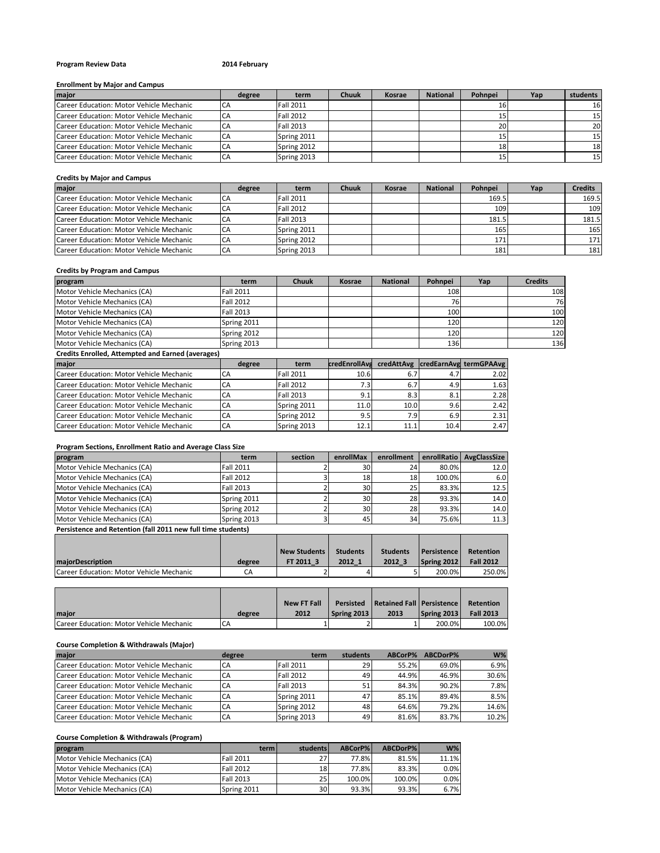# **Program Review Data 2014 February**

### **Enrollment by Major and Campus**

| major                                    | degree | term             | <b>Chuuk</b> | <b>Kosrae</b> | <b>National</b> | Pohnpei | Yap | students        |
|------------------------------------------|--------|------------------|--------------|---------------|-----------------|---------|-----|-----------------|
| Career Education: Motor Vehicle Mechanic |        | <b>Fall 2011</b> |              |               |                 |         |     | 16              |
| Career Education: Motor Vehicle Mechanic |        | Fall 2012        |              |               |                 |         |     | 15 <sub>l</sub> |
| Career Education: Motor Vehicle Mechanic |        | Fall 2013        |              |               |                 | 201     |     | <b>20</b>       |
| Career Education: Motor Vehicle Mechanic |        | Spring 2011      |              |               |                 |         |     | 15 <sub>l</sub> |
| Career Education: Motor Vehicle Mechanic |        | Spring 2012      |              |               |                 | 181     |     | 18              |
| Career Education: Motor Vehicle Mechanic |        | Spring 2013      |              |               |                 |         |     | 15 <sub>l</sub> |

# **Credits by Major and Campus**

| major                                    | degree | term        | <b>Chuuk</b> | Kosrae | <b>National</b> | Pohnpei | Yap | <b>Credits</b> |
|------------------------------------------|--------|-------------|--------------|--------|-----------------|---------|-----|----------------|
| Career Education: Motor Vehicle Mechanic |        | Fall 2011   |              |        |                 | 169.5   |     | 169.5          |
| Career Education: Motor Vehicle Mechanic |        | Fall 2012   |              |        |                 | 109     |     | 109            |
| Career Education: Motor Vehicle Mechanic |        | Fall 2013   |              |        |                 | 181.5   |     | 181.5          |
| Career Education: Motor Vehicle Mechanic |        | Spring 2011 |              |        |                 | 165     |     | 165            |
| Career Education: Motor Vehicle Mechanic |        | Spring 2012 |              |        |                 | 171     |     | <b>171</b>     |
| Career Education: Motor Vehicle Mechanic | CA     | Spring 2013 |              |        |                 | 181     |     | 181            |

#### **Credits by Program and Campus**

| program                                                  | term             | <b>Chuuk</b> | Kosrae | <b>National</b> | Pohnpei | Yap | <b>Credits</b> |
|----------------------------------------------------------|------------------|--------------|--------|-----------------|---------|-----|----------------|
| Motor Vehicle Mechanics (CA)                             | <b>Fall 2011</b> |              |        |                 | 108     |     | 108            |
| Motor Vehicle Mechanics (CA)                             | Fall 2012        |              |        |                 | 76      |     | 76             |
| Motor Vehicle Mechanics (CA)                             | Fall 2013        |              |        |                 | 100     |     | 100            |
| Motor Vehicle Mechanics (CA)                             | Spring 2011      |              |        |                 | 120     |     | 120            |
| Motor Vehicle Mechanics (CA)                             | Spring 2012      |              |        |                 | 120     |     | 120            |
| Motor Vehicle Mechanics (CA)                             | Spring 2013      |              |        |                 | 136     |     | 136            |
| <b>Credits Enrolled, Attempted and Earned (averages)</b> |                  |              |        |                 |         |     |                |

| major                                    | degree | term             |      |      |      | credEnrollAve credAttAvg credEarnAvg termGPAAvg |
|------------------------------------------|--------|------------------|------|------|------|-------------------------------------------------|
| Career Education: Motor Vehicle Mechanic | CA     | <b>Fall 2011</b> | 10.6 |      | 4.7  | 2.02                                            |
| Career Education: Motor Vehicle Mechanic | ICA    | <b>Fall 2012</b> | 7.3  | 6.7  | 4.9  | 1.63                                            |
| Career Education: Motor Vehicle Mechanic | CA     | Fall 2013        | 9.1  | 8.3  | 8.1  | 2.28                                            |
| Career Education: Motor Vehicle Mechanic | CA     | Spring 2011      | 11.0 | 10.0 | 9.6  | 2.42                                            |
| Career Education: Motor Vehicle Mechanic | CA     | Spring 2012      | 9.5  | 7.9  | 6.9  | 2.31                                            |
| Career Education: Motor Vehicle Mechanic | CA     | Spring 2013      | 12.1 | 11.1 | 10.4 | 2.47                                            |

#### **Program Sections, Enrollment Ratio and Average Class Size**

| program                                                      | term        | section | enrollMax       | enrollment | enrollRatio | AvgClassSize |
|--------------------------------------------------------------|-------------|---------|-----------------|------------|-------------|--------------|
| Motor Vehicle Mechanics (CA)                                 | Fall 2011   |         | 30              | 24         | 80.0%       | 12.0         |
| Motor Vehicle Mechanics (CA)                                 | Fall 2012   |         | 18 <sup>1</sup> | 18         | 100.0%      | 6.0          |
| Motor Vehicle Mechanics (CA)                                 | Fall 2013   |         | 30              | 25         | 83.3%       | 12.5         |
| Motor Vehicle Mechanics (CA)                                 | Spring 2011 |         | 30              | 28         | 93.3%       | 14.0         |
| Motor Vehicle Mechanics (CA)                                 | Spring 2012 |         | 30              | 28         | 93.3%       | 14.0         |
| Motor Vehicle Mechanics (CA)                                 | Spring 2013 |         | 45              | 34         | 75.6%       | 11.3         |
| Persistence and Retention (fall 2011 new full time students) |             |         |                 |            |             |              |
|                                                              |             |         |                 |            |             |              |

|                                          |        | <b>New Students</b> | <b>Students</b> | <b>Students</b> | <b>I</b> Persistence | <b>Retention</b> |
|------------------------------------------|--------|---------------------|-----------------|-----------------|----------------------|------------------|
| <b>maiorDescription</b>                  | degree | FT 2011 3           | 2012 1          | 2012            | Spring 2012          | <b>Fall 2012</b> |
| Career Education: Motor Vehicle Mechanic |        |                     |                 |                 | 200.0%               | 250.0%           |

|                                          |        | <b>New FT Fall</b> |             | <b>Persisted Retained Fall Persistence</b> |             | Retention        |
|------------------------------------------|--------|--------------------|-------------|--------------------------------------------|-------------|------------------|
| <b>Imaior</b>                            | degree | 2012               | Spring 2013 | 2013                                       | Spring 2013 | <b>Fall 2013</b> |
| Career Education: Motor Vehicle Mechanic | CA     |                    |             |                                            | 200.0%      | 100.0%           |

# **Course Completion & Withdrawals (Major)**

| maior                                    | degree | term             | students        | ABCorP% | ABCDorP% | $W\%$ |
|------------------------------------------|--------|------------------|-----------------|---------|----------|-------|
| Career Education: Motor Vehicle Mechanic | CA     | <b>Fall 2011</b> | 29              | 55.2%   | 69.0%    | 6.9%  |
| Career Education: Motor Vehicle Mechanic | CA     | <b>Fall 2012</b> | 49              | 44.9%   | 46.9%    | 30.6% |
| Career Education: Motor Vehicle Mechanic | CA     | <b>Fall 2013</b> | 51 <sub>1</sub> | 84.3%   | 90.2%    | 7.8%  |
| Career Education: Motor Vehicle Mechanic | CA     | Spring 2011      | 47              | 85.1%   | 89.4%    | 8.5%  |
| Career Education: Motor Vehicle Mechanic | CA     | Spring 2012      | 48              | 64.6%   | 79.2%    | 14.6% |
| Career Education: Motor Vehicle Mechanic | CA     | Spring 2013      | 49              | 81.6%   | 83.7%    | 10.2% |

# **Course Completion & Withdrawals (Program)**

| program                      | terml            | students        | ABCorP% | ABCDorP% | $W\%$ |
|------------------------------|------------------|-----------------|---------|----------|-------|
| Motor Vehicle Mechanics (CA) | <b>Fall 2011</b> | 27 <sup>1</sup> | 77.8%   | 81.5%    | 11.1% |
| Motor Vehicle Mechanics (CA) | <b>Fall 2012</b> | 18              | 77.8%   | 83.3%    | 0.0%  |
| Motor Vehicle Mechanics (CA) | <b>Fall 2013</b> | 25              | 100.0%  | 100.0%   | 0.0%  |
| Motor Vehicle Mechanics (CA) | Spring 2011      | 30I             | 93.3%   | 93.3%    | 6.7%  |